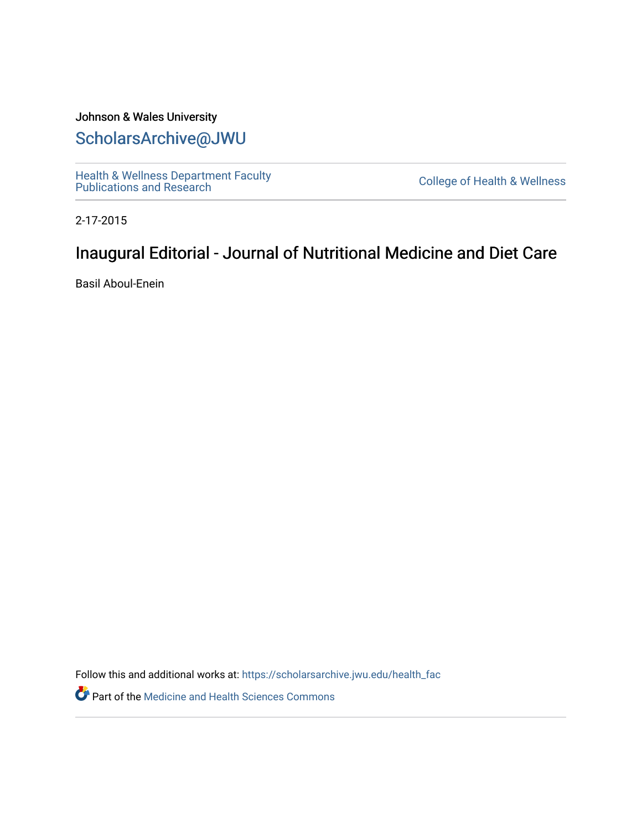## Johnson & Wales University [ScholarsArchive@JWU](https://scholarsarchive.jwu.edu/)

[Health & Wellness Department Faculty](https://scholarsarchive.jwu.edu/health_fac)  [Publications and Research](https://scholarsarchive.jwu.edu/health_fac) [College of Health & Wellness](https://scholarsarchive.jwu.edu/health_wellness) 

2-17-2015

# Inaugural Editorial - Journal of Nutritional Medicine and Diet Care

Basil Aboul-Enein

Follow this and additional works at: [https://scholarsarchive.jwu.edu/health\\_fac](https://scholarsarchive.jwu.edu/health_fac?utm_source=scholarsarchive.jwu.edu%2Fhealth_fac%2F129&utm_medium=PDF&utm_campaign=PDFCoverPages) 

Part of the [Medicine and Health Sciences Commons](http://network.bepress.com/hgg/discipline/648?utm_source=scholarsarchive.jwu.edu%2Fhealth_fac%2F129&utm_medium=PDF&utm_campaign=PDFCoverPages)